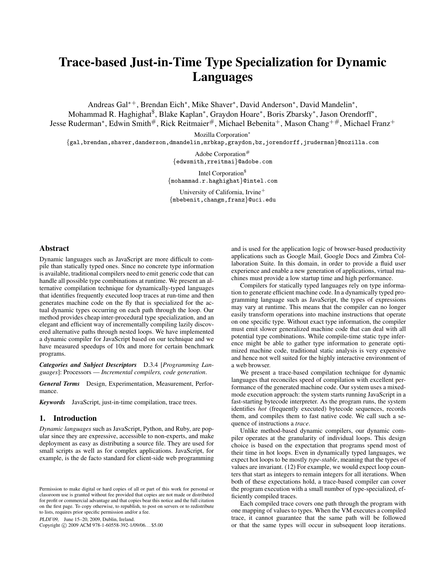# Trace-based Just-in-Time Type Specialization for Dynamic Languages

Andreas Gal∗+, Brendan Eich<sup>∗</sup> , Mike Shaver<sup>∗</sup> , David Anderson<sup>∗</sup> , David Mandelin<sup>∗</sup> , Mohammad R. Haghighat<sup>\$</sup>, Blake Kaplan\*, Graydon Hoare\*, Boris Zbarsky\*, Jason Orendorff\*, Jesse Ruderman\*, Edwin Smith#, Rick Reitmaier#, Michael Bebenita<sup>+</sup>, Mason Chang<sup>+#</sup>, Michael Franz<sup>+</sup>

Mozilla Corporation<sup>∗</sup>

{gal,brendan,shaver,danderson,dmandelin,mrbkap,graydon,bz,jorendorff,jruderman}@mozilla.com

Adobe Corporation# {edwsmith,rreitmai}@adobe.com

Intel Corporation<sup>\$</sup> {mohammad.r.haghighat}@intel.com

University of California, Irvine<sup>+</sup> {mbebenit,changm,franz}@uci.edu

# Abstract

Dynamic languages such as JavaScript are more difficult to compile than statically typed ones. Since no concrete type information is available, traditional compilers need to emit generic code that can handle all possible type combinations at runtime. We present an alternative compilation technique for dynamically-typed languages that identifies frequently executed loop traces at run-time and then generates machine code on the fly that is specialized for the actual dynamic types occurring on each path through the loop. Our method provides cheap inter-procedural type specialization, and an elegant and efficient way of incrementally compiling lazily discovered alternative paths through nested loops. We have implemented a dynamic compiler for JavaScript based on our technique and we have measured speedups of 10x and more for certain benchmark programs.

*Categories and Subject Descriptors* D.3.4 [*Programming Languages*]: Processors — *Incremental compilers, code generation*.

*General Terms* Design, Experimentation, Measurement, Performance.

*Keywords* JavaScript, just-in-time compilation, trace trees.

## 1. Introduction

*Dynamic languages* such as JavaScript, Python, and Ruby, are popular since they are expressive, accessible to non-experts, and make deployment as easy as distributing a source file. They are used for small scripts as well as for complex applications. JavaScript, for example, is the de facto standard for client-side web programming

PLDI'09, June 15–20, 2009, Dublin, Ireland.

Copyright © 2009 ACM 978-1-60558-392-1/09/06... \$5.00

and is used for the application logic of browser-based productivity applications such as Google Mail, Google Docs and Zimbra Collaboration Suite. In this domain, in order to provide a fluid user experience and enable a new generation of applications, virtual machines must provide a low startup time and high performance.

Compilers for statically typed languages rely on type information to generate efficient machine code. In a dynamically typed programming language such as JavaScript, the types of expressions may vary at runtime. This means that the compiler can no longer easily transform operations into machine instructions that operate on one specific type. Without exact type information, the compiler must emit slower generalized machine code that can deal with all potential type combinations. While compile-time static type inference might be able to gather type information to generate optimized machine code, traditional static analysis is very expensive and hence not well suited for the highly interactive environment of a web browser.

We present a trace-based compilation technique for dynamic languages that reconciles speed of compilation with excellent performance of the generated machine code. Our system uses a mixedmode execution approach: the system starts running JavaScript in a fast-starting bytecode interpreter. As the program runs, the system identifies *hot* (frequently executed) bytecode sequences, records them, and compiles them to fast native code. We call such a sequence of instructions a *trace*.

Unlike method-based dynamic compilers, our dynamic compiler operates at the granularity of individual loops. This design choice is based on the expectation that programs spend most of their time in hot loops. Even in dynamically typed languages, we expect hot loops to be mostly *type-stable*, meaning that the types of values are invariant. (12) For example, we would expect loop counters that start as integers to remain integers for all iterations. When both of these expectations hold, a trace-based compiler can cover the program execution with a small number of type-specialized, efficiently compiled traces.

Each compiled trace covers one path through the program with one mapping of values to types. When the VM executes a compiled trace, it cannot guarantee that the same path will be followed or that the same types will occur in subsequent loop iterations.

Permission to make digital or hard copies of all or part of this work for personal or classroom use is granted without fee provided that copies are not made or distributed for profit or commercial advantage and that copies bear this notice and the full citation on the first page. To copy otherwise, to republish, to post on servers or to redistribute to lists, requires prior specific permission and/or a fee.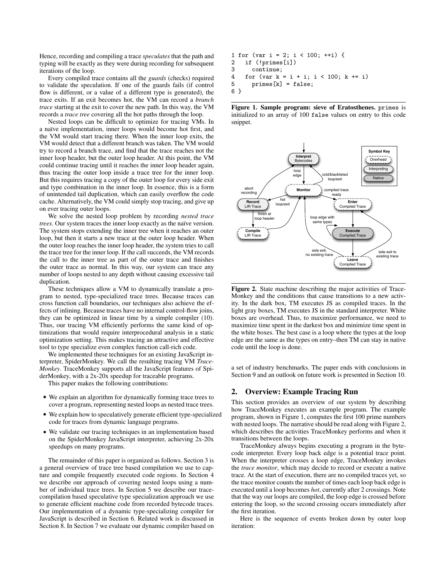Hence, recording and compiling a trace *speculates* that the path and typing will be exactly as they were during recording for subsequent iterations of the loop.

Every compiled trace contains all the *guards* (checks) required to validate the speculation. If one of the guards fails (if control flow is different, or a value of a different type is generated), the trace exits. If an exit becomes hot, the VM can record a *branch trace* starting at the exit to cover the new path. In this way, the VM records a *trace tree* covering all the hot paths through the loop.

Nested loops can be difficult to optimize for tracing VMs. In a naïve implementation, inner loops would become hot first, and the VM would start tracing there. When the inner loop exits, the VM would detect that a different branch was taken. The VM would try to record a branch trace, and find that the trace reaches not the inner loop header, but the outer loop header. At this point, the VM could continue tracing until it reaches the inner loop header again, thus tracing the outer loop inside a trace tree for the inner loop. But this requires tracing a copy of the outer loop for every side exit and type combination in the inner loop. In essence, this is a form of unintended tail duplication, which can easily overflow the code cache. Alternatively, the VM could simply stop tracing, and give up on ever tracing outer loops.

We solve the nested loop problem by recording *nested trace trees*. Our system traces the inner loop exactly as the naïve version. The system stops extending the inner tree when it reaches an outer loop, but then it starts a new trace at the outer loop header. When the outer loop reaches the inner loop header, the system tries to call the trace tree for the inner loop. If the call succeeds, the VM records the call to the inner tree as part of the outer trace and finishes the outer trace as normal. In this way, our system can trace any number of loops nested to any depth without causing excessive tail duplication.

These techniques allow a VM to dynamically translate a program to nested, type-specialized trace trees. Because traces can cross function call boundaries, our techniques also achieve the effects of inlining. Because traces have no internal control-flow joins, they can be optimized in linear time by a simple compiler (10). Thus, our tracing VM efficiently performs the same kind of optimizations that would require interprocedural analysis in a static optimization setting. This makes tracing an attractive and effective tool to type specialize even complex function call-rich code.

We implemented these techniques for an existing JavaScript interpreter, SpiderMonkey. We call the resulting tracing VM *Trace-Monkey*. TraceMonkey supports all the JavaScript features of SpiderMonkey, with a 2x-20x speedup for traceable programs.

This paper makes the following contributions:

- We explain an algorithm for dynamically forming trace trees to cover a program, representing nested loops as nested trace trees.
- We explain how to speculatively generate efficient type-specialized code for traces from dynamic language programs.
- We validate our tracing techniques in an implementation based on the SpiderMonkey JavaScript interpreter, achieving 2x-20x speedups on many programs.

The remainder of this paper is organized as follows. Section 3 is a general overview of trace tree based compilation we use to capture and compile frequently executed code regions. In Section 4 we describe our approach of covering nested loops using a number of individual trace trees. In Section 5 we describe our tracecompilation based speculative type specialization approach we use to generate efficient machine code from recorded bytecode traces. Our implementation of a dynamic type-specializing compiler for JavaScript is described in Section 6. Related work is discussed in Section 8. In Section 7 we evaluate our dynamic compiler based on

```
1 for (var i = 2; i < 100; ++i) {
2 if (!primes[i])
3 continue;<br>4 for (var k
4 for (var k = i + i; i < 100; k += i)<br>5 primes[k] = false;
       primes[k] = false;6 }
```
Figure 1. Sample program: sieve of Eratosthenes. primes is initialized to an array of 100 false values on entry to this code snippet.



Figure 2. State machine describing the major activities of Trace-Monkey and the conditions that cause transitions to a new activity. In the dark box, TM executes JS as compiled traces. In the light gray boxes, TM executes JS in the standard interpreter. White boxes are overhead. Thus, to maximize performance, we need to maximize time spent in the darkest box and minimize time spent in the white boxes. The best case is a loop where the types at the loop edge are the same as the types on entry–then TM can stay in native code until the loop is done.

a set of industry benchmarks. The paper ends with conclusions in Section 9 and an outlook on future work is presented in Section 10.

## 2. Overview: Example Tracing Run

This section provides an overview of our system by describing how TraceMonkey executes an example program. The example program, shown in Figure 1, computes the first 100 prime numbers with nested loops. The narrative should be read along with Figure 2, which describes the activities TraceMonkey performs and when it transitions between the loops.

TraceMonkey always begins executing a program in the bytecode interpreter. Every loop back edge is a potential trace point. When the interpreter crosses a loop edge, TraceMonkey invokes the *trace monitor*, which may decide to record or execute a native trace. At the start of execution, there are no compiled traces yet, so the trace monitor counts the number of times each loop back edge is executed until a loop becomes *hot*, currently after 2 crossings. Note that the way our loops are compiled, the loop edge is crossed before entering the loop, so the second crossing occurs immediately after the first iteration.

Here is the sequence of events broken down by outer loop iteration: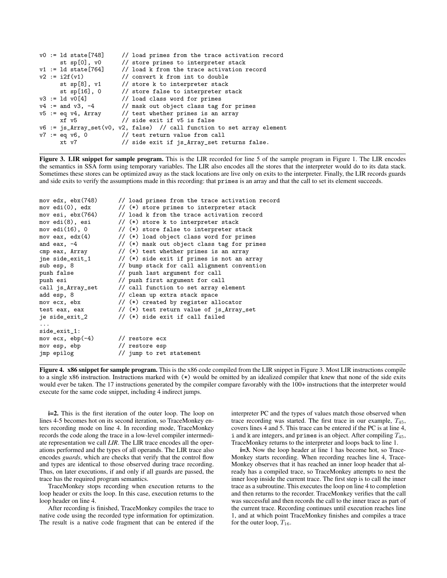| $v0 := 1d state[748]$  | // load primes from the trace activation record                                   |
|------------------------|-----------------------------------------------------------------------------------|
| $st$ $sp[0]$ , $v0$    | // store primes to interpreter stack                                              |
| $v1 := 1d state [764]$ | // load k from the trace activation record                                        |
| $v2 := i2f(v1)$        | // convert k from int to double                                                   |
| st $sp[8]$ , $v1$      | // store k to interpreter stack                                                   |
| st $sp[16]$ , 0        | // store false to interpreter stack                                               |
| $v3 := 1d \ v0[4]$     | // load class word for primes                                                     |
| $v4 := and v3, -4$     | // mask out object class tag for primes                                           |
| $v5 := eq v4$ , Array  | // test whether primes is an array                                                |
| xf v5                  | // side exit if v5 is false                                                       |
|                        | $v6 := js_{\text{array}}set(v0, v2, false)$ // call function to set array element |
| $v7 := eq v6, 0$       | // test return value from call                                                    |
| xt v7                  | // side exit if js_Array_set returns false.                                       |

Figure 3. LIR snippet for sample program. This is the LIR recorded for line 5 of the sample program in Figure 1. The LIR encodes the semantics in SSA form using temporary variables. The LIR also encodes all the stores that the interpreter would do to its data stack. Sometimes these stores can be optimized away as the stack locations are live only on exits to the interpreter. Finally, the LIR records guards and side exits to verify the assumptions made in this recording: that primes is an array and that the call to set its element succeeds.

| mov edx, $ebx(748)$               | // load primes from the trace activation record           |
|-----------------------------------|-----------------------------------------------------------|
| mov $edi(0)$ , $edx$              | // $(*)$ store primes to interpreter stack                |
| mov esi, ebx(764)                 | // load k from the trace activation record                |
| mov edi(8), esi                   | // $(*)$ store k to interpreter stack                     |
| mov edi $(16)$ , 0                | $\frac{1}{\sqrt{2}}$ (*) store false to interpreter stack |
| mov eax, $edx(4)$                 | // (*) load object class word for primes                  |
| and eax, $-4$                     | // (*) mask out object class tag for primes               |
| cmp eax, Array                    | // (*) test whether primes is an array                    |
| jne side_exit_1                   | // $(*)$ side exit if primes is not an array              |
| sub esp, 8                        | // bump stack for call alignment convention               |
| push false                        | // push last argument for call                            |
| push esi                          | // push first argument for call                           |
| call js_Array_set                 | // call function to set array element                     |
| add esp, 8                        | // clean up extra stack space                             |
| mov ecx, ebx                      | // (*) created by register allocator                      |
| test eax, eax                     | // (*) test return value of js_Array_set                  |
| je side_exit_2                    | $\frac{1}{\sqrt{2}}$ (*) side exit if call failed         |
| .                                 |                                                           |
| side_exit_1:                      |                                                           |
| mov ecx, $ebp(-4)$ // restore ecx |                                                           |
| mov esp, ebp                      | // restore esp                                            |
| jmp epilog                        | // jump to ret statement                                  |
|                                   |                                                           |

Figure 4. x86 snippet for sample program. This is the x86 code compiled from the LIR snippet in Figure 3. Most LIR instructions compile to a single x86 instruction. Instructions marked with (\*) would be omitted by an idealized compiler that knew that none of the side exits would ever be taken. The 17 instructions generated by the compiler compare favorably with the 100+ instructions that the interpreter would execute for the same code snippet, including 4 indirect jumps.

i=2. This is the first iteration of the outer loop. The loop on lines 4-5 becomes hot on its second iteration, so TraceMonkey enters recording mode on line 4. In recording mode, TraceMonkey records the code along the trace in a low-level compiler intermediate representation we call *LIR*. The LIR trace encodes all the operations performed and the types of all operands. The LIR trace also encodes *guards*, which are checks that verify that the control flow and types are identical to those observed during trace recording. Thus, on later executions, if and only if all guards are passed, the trace has the required program semantics.

TraceMonkey stops recording when execution returns to the loop header or exits the loop. In this case, execution returns to the loop header on line 4.

After recording is finished, TraceMonkey compiles the trace to native code using the recorded type information for optimization. The result is a native code fragment that can be entered if the interpreter PC and the types of values match those observed when trace recording was started. The first trace in our example,  $T_{45}$ , covers lines 4 and 5. This trace can be entered if the PC is at line 4, i and k are integers, and primes is an object. After compiling  $T_{45}$ , TraceMonkey returns to the interpreter and loops back to line 1.

i=3. Now the loop header at line 1 has become hot, so Trace-Monkey starts recording. When recording reaches line 4, Trace-Monkey observes that it has reached an inner loop header that already has a compiled trace, so TraceMonkey attempts to nest the inner loop inside the current trace. The first step is to call the inner trace as a subroutine. This executes the loop on line 4 to completion and then returns to the recorder. TraceMonkey verifies that the call was successful and then records the call to the inner trace as part of the current trace. Recording continues until execution reaches line 1, and at which point TraceMonkey finishes and compiles a trace for the outer loop,  $T_{16}$ .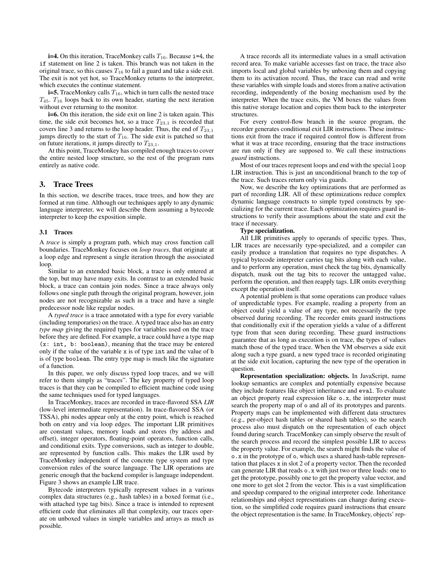i=4. On this iteration, TraceMonkey calls  $T_{16}$ . Because i=4, the if statement on line 2 is taken. This branch was not taken in the original trace, so this causes  $T_{16}$  to fail a guard and take a side exit. The exit is not yet hot, so TraceMonkey returns to the interpreter, which executes the continue statement.

**i=5.** TraceMonkey calls  $T_{16}$ , which in turn calls the nested trace  $T_{45}$ .  $T_{16}$  loops back to its own header, starting the next iteration without ever returning to the monitor.

i=6. On this iteration, the side exit on line 2 is taken again. This time, the side exit becomes hot, so a trace  $T_{23,1}$  is recorded that covers line 3 and returns to the loop header. Thus, the end of  $T_{23,1}$ jumps directly to the start of  $T_{16}$ . The side exit is patched so that on future iterations, it jumps directly to  $T_{23,1}$ .

At this point, TraceMonkey has compiled enough traces to cover the entire nested loop structure, so the rest of the program runs entirely as native code.

# 3. Trace Trees

In this section, we describe traces, trace trees, and how they are formed at run time. Although our techniques apply to any dynamic language interpreter, we will describe them assuming a bytecode interpreter to keep the exposition simple.

#### 3.1 Traces

A *trace* is simply a program path, which may cross function call boundaries. TraceMonkey focuses on *loop traces*, that originate at a loop edge and represent a single iteration through the associated loop.

Similar to an extended basic block, a trace is only entered at the top, but may have many exits. In contrast to an extended basic block, a trace can contain join nodes. Since a trace always only follows one single path through the original program, however, join nodes are not recognizable as such in a trace and have a single predecessor node like regular nodes.

A *typed trace* is a trace annotated with a type for every variable (including temporaries) on the trace. A typed trace also has an entry *type map* giving the required types for variables used on the trace before they are defined. For example, a trace could have a type map (x: int, b: boolean), meaning that the trace may be entered only if the value of the variable x is of type int and the value of b is of type boolean. The entry type map is much like the signature of a function.

In this paper, we only discuss typed loop traces, and we will refer to them simply as "traces". The key property of typed loop traces is that they can be compiled to efficient machine code using the same techniques used for typed languages.

In TraceMonkey, traces are recorded in trace-flavored SSA *LIR* (low-level intermediate representation). In trace-flavored SSA (or TSSA), phi nodes appear only at the entry point, which is reached both on entry and via loop edges. The important LIR primitives are constant values, memory loads and stores (by address and offset), integer operators, floating-point operators, function calls, and conditional exits. Type conversions, such as integer to double, are represented by function calls. This makes the LIR used by TraceMonkey independent of the concrete type system and type conversion rules of the source language. The LIR operations are generic enough that the backend compiler is language independent. Figure 3 shows an example LIR trace.

Bytecode interpreters typically represent values in a various complex data structures (e.g., hash tables) in a boxed format (i.e., with attached type tag bits). Since a trace is intended to represent efficient code that eliminates all that complexity, our traces operate on unboxed values in simple variables and arrays as much as possible.

A trace records all its intermediate values in a small activation record area. To make variable accesses fast on trace, the trace also imports local and global variables by unboxing them and copying them to its activation record. Thus, the trace can read and write these variables with simple loads and stores from a native activation recording, independently of the boxing mechanism used by the interpreter. When the trace exits, the VM boxes the values from this native storage location and copies them back to the interpreter structures.

For every control-flow branch in the source program, the recorder generates conditional exit LIR instructions. These instructions exit from the trace if required control flow is different from what it was at trace recording, ensuring that the trace instructions are run only if they are supposed to. We call these instructions *guard* instructions.

Most of our traces represent loops and end with the special loop LIR instruction. This is just an unconditional branch to the top of the trace. Such traces return only via guards.

Now, we describe the key optimizations that are performed as part of recording LIR. All of these optimizations reduce complex dynamic language constructs to simple typed constructs by specializing for the current trace. Each optimization requires guard instructions to verify their assumptions about the state and exit the trace if necessary.

#### Type specialization.

All LIR primitives apply to operands of specific types. Thus, LIR traces are necessarily type-specialized, and a compiler can easily produce a translation that requires no type dispatches. A typical bytecode interpreter carries tag bits along with each value, and to perform any operation, must check the tag bits, dynamically dispatch, mask out the tag bits to recover the untagged value, perform the operation, and then reapply tags. LIR omits everything except the operation itself.

A potential problem is that some operations can produce values of unpredictable types. For example, reading a property from an object could yield a value of any type, not necessarily the type observed during recording. The recorder emits guard instructions that conditionally exit if the operation yields a value of a different type from that seen during recording. These guard instructions guarantee that as long as execution is on trace, the types of values match those of the typed trace. When the VM observes a side exit along such a type guard, a new typed trace is recorded originating at the side exit location, capturing the new type of the operation in question.

Representation specialization: objects. In JavaScript, name lookup semantics are complex and potentially expensive because they include features like object inheritance and eval. To evaluate an object property read expression like o.x, the interpreter must search the property map of o and all of its prototypes and parents. Property maps can be implemented with different data structures (e.g., per-object hash tables or shared hash tables), so the search process also must dispatch on the representation of each object found during search. TraceMonkey can simply observe the result of the search process and record the simplest possible LIR to access the property value. For example, the search might finds the value of o.x in the prototype of o, which uses a shared hash-table representation that places x in slot 2 of a property vector. Then the recorded can generate LIR that reads o.x with just two or three loads: one to get the prototype, possibly one to get the property value vector, and one more to get slot 2 from the vector. This is a vast simplification and speedup compared to the original interpreter code. Inheritance relationships and object representations can change during execution, so the simplified code requires guard instructions that ensure the object representation is the same. In TraceMonkey, objects' rep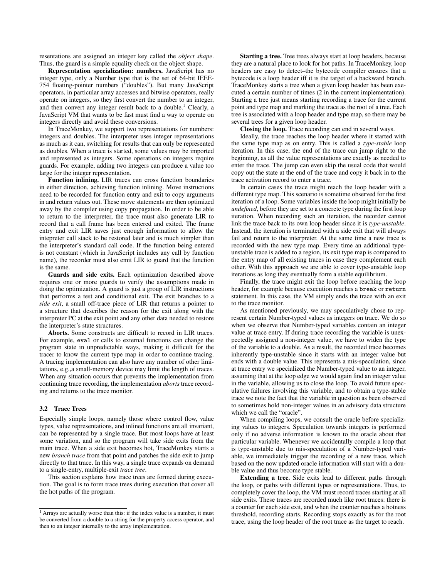resentations are assigned an integer key called the *object shape*. Thus, the guard is a simple equality check on the object shape.

Representation specialization: numbers. JavaScript has no integer type, only a Number type that is the set of 64-bit IEEE-754 floating-pointer numbers ("doubles"). But many JavaScript operators, in particular array accesses and bitwise operators, really operate on integers, so they first convert the number to an integer, and then convert any integer result back to a double.<sup>1</sup> Clearly, a JavaScript VM that wants to be fast must find a way to operate on integers directly and avoid these conversions.

In TraceMonkey, we support two representations for numbers: integers and doubles. The interpreter uses integer representations as much as it can, switching for results that can only be represented as doubles. When a trace is started, some values may be imported and represented as integers. Some operations on integers require guards. For example, adding two integers can produce a value too large for the integer representation.

Function inlining. LIR traces can cross function boundaries in either direction, achieving function inlining. Move instructions need to be recorded for function entry and exit to copy arguments in and return values out. These move statements are then optimized away by the compiler using copy propagation. In order to be able to return to the interpreter, the trace must also generate LIR to record that a call frame has been entered and exited. The frame entry and exit LIR saves just enough information to allow the intepreter call stack to be restored later and is much simpler than the interpreter's standard call code. If the function being entered is not constant (which in JavaScript includes any call by function name), the recorder must also emit LIR to guard that the function is the same.

Guards and side exits. Each optimization described above requires one or more guards to verify the assumptions made in doing the optimization. A guard is just a group of LIR instructions that performs a test and conditional exit. The exit branches to a *side exit*, a small off-trace piece of LIR that returns a pointer to a structure that describes the reason for the exit along with the interpreter PC at the exit point and any other data needed to restore the interpreter's state structures.

Aborts. Some constructs are difficult to record in LIR traces. For example, eval or calls to external functions can change the program state in unpredictable ways, making it difficult for the tracer to know the current type map in order to continue tracing. A tracing implementation can also have any number of other limitations, e.g.,a small-memory device may limit the length of traces. When any situation occurs that prevents the implementation from continuing trace recording, the implementation *aborts* trace recording and returns to the trace monitor.

# 3.2 Trace Trees

Especially simple loops, namely those where control flow, value types, value representations, and inlined functions are all invariant, can be represented by a single trace. But most loops have at least some variation, and so the program will take side exits from the main trace. When a side exit becomes hot, TraceMonkey starts a new *branch trace* from that point and patches the side exit to jump directly to that trace. In this way, a single trace expands on demand to a single-entry, multiple-exit *trace tree*.

This section explains how trace trees are formed during execution. The goal is to form trace trees during execution that cover all the hot paths of the program.

Starting a tree. Tree trees always start at loop headers, because they are a natural place to look for hot paths. In TraceMonkey, loop headers are easy to detect–the bytecode compiler ensures that a bytecode is a loop header iff it is the target of a backward branch. TraceMonkey starts a tree when a given loop header has been executed a certain number of times (2 in the current implementation). Starting a tree just means starting recording a trace for the current point and type map and marking the trace as the root of a tree. Each tree is associated with a loop header and type map, so there may be several trees for a given loop header.

Closing the loop. Trace recording can end in several ways.

Ideally, the trace reaches the loop header where it started with the same type map as on entry. This is called a *type-stable* loop iteration. In this case, the end of the trace can jump right to the beginning, as all the value representations are exactly as needed to enter the trace. The jump can even skip the usual code that would copy out the state at the end of the trace and copy it back in to the trace activation record to enter a trace.

In certain cases the trace might reach the loop header with a different type map. This scenario is sometime observed for the first iteration of a loop. Some variables inside the loop might initially be *undefined*, before they are set to a concrete type during the first loop iteration. When recording such an iteration, the recorder cannot link the trace back to its own loop header since it is *type-unstable*. Instead, the iteration is terminated with a side exit that will always fail and return to the interpreter. At the same time a new trace is recorded with the new type map. Every time an additional typeunstable trace is added to a region, its exit type map is compared to the entry map of all existing traces in case they complement each other. With this approach we are able to cover type-unstable loop iterations as long they eventually form a stable equilibrium.

Finally, the trace might exit the loop before reaching the loop header, for example because execution reaches a break or return statement. In this case, the VM simply ends the trace with an exit to the trace monitor.

As mentioned previously, we may speculatively chose to represent certain Number-typed values as integers on trace. We do so when we observe that Number-typed variables contain an integer value at trace entry. If during trace recording the variable is unexpectedly assigned a non-integer value, we have to widen the type of the variable to a double. As a result, the recorded trace becomes inherently type-unstable since it starts with an integer value but ends with a double value. This represents a mis-speculation, since at trace entry we specialized the Number-typed value to an integer, assuming that at the loop edge we would again find an integer value in the variable, allowing us to close the loop. To avoid future speculative failures involving this variable, and to obtain a type-stable trace we note the fact that the variable in question as been observed to sometimes hold non-integer values in an advisory data structure which we call the "oracle".

When compiling loops, we consult the oracle before specializing values to integers. Speculation towards integers is performed only if no adverse information is known to the oracle about that particular variable. Whenever we accidentally compile a loop that is type-unstable due to mis-speculation of a Number-typed variable, we immediately trigger the recording of a new trace, which based on the now updated oracle information will start with a double value and thus become type stable.

Extending a tree. Side exits lead to different paths through the loop, or paths with different types or representations. Thus, to completely cover the loop, the VM must record traces starting at all side exits. These traces are recorded much like root traces: there is a counter for each side exit, and when the counter reaches a hotness threshold, recording starts. Recording stops exactly as for the root trace, using the loop header of the root trace as the target to reach.

 $<sup>1</sup>$  Arrays are actually worse than this: if the index value is a number, it must</sup> be converted from a double to a string for the property access operator, and then to an integer internally to the array implementation.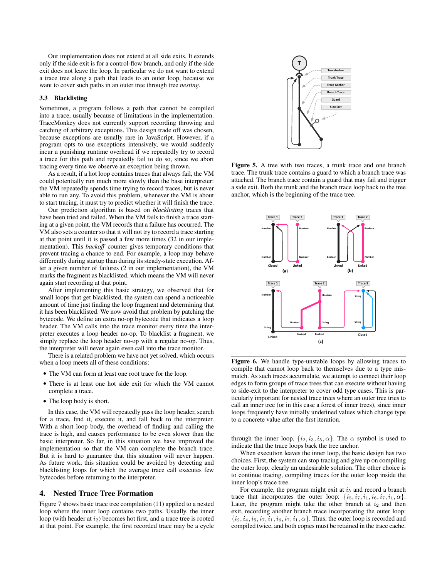Our implementation does not extend at all side exits. It extends only if the side exit is for a control-flow branch, and only if the side exit does not leave the loop. In particular we do not want to extend a trace tree along a path that leads to an outer loop, because we want to cover such paths in an outer tree through tree *nesting*.

#### 3.3 Blacklisting

Sometimes, a program follows a path that cannot be compiled into a trace, usually because of limitations in the implementation. TraceMonkey does not currently support recording throwing and catching of arbitrary exceptions. This design trade off was chosen, because exceptions are usually rare in JavaScript. However, if a program opts to use exceptions intensively, we would suddenly incur a punishing runtime overhead if we repeatedly try to record a trace for this path and repeatedly fail to do so, since we abort tracing every time we observe an exception being thrown.

As a result, if a hot loop contains traces that always fail, the VM could potentially run much more slowly than the base interpreter: the VM repeatedly spends time trying to record traces, but is never able to run any. To avoid this problem, whenever the VM is about to start tracing, it must try to predict whether it will finish the trace.

Our prediction algorithm is based on *blacklisting* traces that have been tried and failed. When the VM fails to finish a trace starting at a given point, the VM records that a failure has occurred. The VM also sets a counter so that it will not try to record a trace starting at that point until it is passed a few more times (32 in our implementation). This *backoff* counter gives temporary conditions that prevent tracing a chance to end. For example, a loop may behave differently during startup than during its steady-state execution. After a given number of failures (2 in our implementation), the VM marks the fragment as blacklisted, which means the VM will never again start recording at that point.

After implementing this basic strategy, we observed that for small loops that get blacklisted, the system can spend a noticeable amount of time just finding the loop fragment and determining that it has been blacklisted. We now avoid that problem by patching the bytecode. We define an extra no-op bytecode that indicates a loop header. The VM calls into the trace monitor every time the interpreter executes a loop header no-op. To blacklist a fragment, we simply replace the loop header no-op with a regular no-op. Thus, the interpreter will never again even call into the trace monitor.

There is a related problem we have not yet solved, which occurs when a loop meets all of these conditions:

- The VM can form at least one root trace for the loop.
- There is at least one hot side exit for which the VM cannot complete a trace.
- The loop body is short.

In this case, the VM will repeatedly pass the loop header, search for a trace, find it, execute it, and fall back to the interpreter. With a short loop body, the overhead of finding and calling the trace is high, and causes performance to be even slower than the basic interpreter. So far, in this situation we have improved the implementation so that the VM can complete the branch trace. But it is hard to guarantee that this situation will never happen. As future work, this situation could be avoided by detecting and blacklisting loops for which the average trace call executes few bytecodes before returning to the interpreter.

## 4. Nested Trace Tree Formation

Figure 7 shows basic trace tree compilation (11) applied to a nested loop where the inner loop contains two paths. Usually, the inner loop (with header at  $i_2$ ) becomes hot first, and a trace tree is rooted at that point. For example, the first recorded trace may be a cycle



Figure 5. A tree with two traces, a trunk trace and one branch trace. The trunk trace contains a guard to which a branch trace was attached. The branch trace contain a guard that may fail and trigger a side exit. Both the trunk and the branch trace loop back to the tree anchor, which is the beginning of the trace tree.



Figure 6. We handle type-unstable loops by allowing traces to compile that cannot loop back to themselves due to a type mismatch. As such traces accumulate, we attempt to connect their loop edges to form groups of trace trees that can execute without having to side-exit to the interpreter to cover odd type cases. This is particularly important for nested trace trees where an outer tree tries to call an inner tree (or in this case a forest of inner trees), since inner loops frequently have initially undefined values which change type to a concrete value after the first iteration.

through the inner loop,  $\{i_2, i_3, i_5, \alpha\}$ . The  $\alpha$  symbol is used to indicate that the trace loops back the tree anchor.

When execution leaves the inner loop, the basic design has two choices. First, the system can stop tracing and give up on compiling the outer loop, clearly an undesirable solution. The other choice is to continue tracing, compiling traces for the outer loop inside the inner loop's trace tree.

For example, the program might exit at  $i<sub>5</sub>$  and record a branch trace that incorporates the outer loop:  $\{i_5, i_7, i_1, i_6, i_7, i_1, \alpha\}.$ Later, the program might take the other branch at  $i_2$  and then exit, recording another branch trace incorporating the outer loop:  $\{i_2, i_4, i_5, i_7, i_1, i_6, i_7, i_1, \alpha\}$ . Thus, the outer loop is recorded and compiled twice, and both copies must be retained in the trace cache.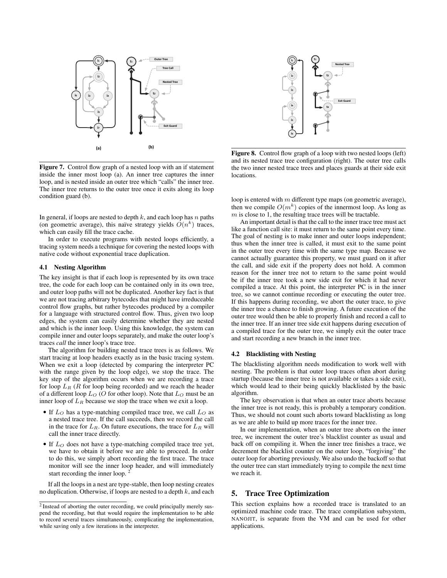

Figure 7. Control flow graph of a nested loop with an if statement inside the inner most loop (a). An inner tree captures the inner loop, and is nested inside an outer tree which "calls" the inner tree. The inner tree returns to the outer tree once it exits along its loop condition guard (b).

In general, if loops are nested to depth  $k$ , and each loop has  $n$  paths (on geometric average), this naïve strategy yields  $O(n^k)$  traces, which can easily fill the trace cache.

In order to execute programs with nested loops efficiently, a tracing system needs a technique for covering the nested loops with native code without exponential trace duplication.

#### 4.1 Nesting Algorithm

The key insight is that if each loop is represented by its own trace tree, the code for each loop can be contained only in its own tree, and outer loop paths will not be duplicated. Another key fact is that we are not tracing arbitrary bytecodes that might have irreduceable control flow graphs, but rather bytecodes produced by a compiler for a language with structured control flow. Thus, given two loop edges, the system can easily determine whether they are nested and which is the inner loop. Using this knowledge, the system can compile inner and outer loops separately, and make the outer loop's traces *call* the inner loop's trace tree.

The algorithm for building nested trace trees is as follows. We start tracing at loop headers exactly as in the basic tracing system. When we exit a loop (detected by comparing the interpreter PC with the range given by the loop edge), we stop the trace. The key step of the algorithm occurs when we are recording a trace for loop  $L_R$  (R for loop being recorded) and we reach the header of a different loop  $L<sub>O</sub>$  (O for other loop). Note that  $L<sub>O</sub>$  must be an inner loop of  $L_R$  because we stop the trace when we exit a loop.

- If  $L_O$  has a type-matching compiled trace tree, we call  $L_O$  as a nested trace tree. If the call succeeds, then we record the call in the trace for  $L_R$ . On future executions, the trace for  $L_R$  will call the inner trace directly.
- If  $L<sub>O</sub>$  does not have a type-matching compiled trace tree yet, we have to obtain it before we are able to proceed. In order to do this, we simply abort recording the first trace. The trace monitor will see the inner loop header, and will immediately start recording the inner loop.

If all the loops in a nest are type-stable, then loop nesting creates no duplication. Otherwise, if loops are nested to a depth  $k$ , and each



Figure 8. Control flow graph of a loop with two nested loops (left) and its nested trace tree configuration (right). The outer tree calls the two inner nested trace trees and places guards at their side exit locations.

loop is entered with  $m$  different type maps (on geometric average), then we compile  $O(m^k)$  copies of the innermost loop. As long as  $m$  is close to 1, the resulting trace trees will be tractable.

An important detail is that the call to the inner trace tree must act like a function call site: it must return to the same point every time. The goal of nesting is to make inner and outer loops independent; thus when the inner tree is called, it must exit to the same point in the outer tree every time with the same type map. Because we cannot actually guarantee this property, we must guard on it after the call, and side exit if the property does not hold. A common reason for the inner tree not to return to the same point would be if the inner tree took a new side exit for which it had never compiled a trace. At this point, the interpreter PC is in the inner tree, so we cannot continue recording or executing the outer tree. If this happens during recording, we abort the outer trace, to give the inner tree a chance to finish growing. A future execution of the outer tree would then be able to properly finish and record a call to the inner tree. If an inner tree side exit happens during execution of a compiled trace for the outer tree, we simply exit the outer trace and start recording a new branch in the inner tree.

### 4.2 Blacklisting with Nesting

The blacklisting algorithm needs modification to work well with nesting. The problem is that outer loop traces often abort during startup (because the inner tree is not available or takes a side exit), which would lead to their being quickly blacklisted by the basic algorithm.

The key observation is that when an outer trace aborts because the inner tree is not ready, this is probably a temporary condition. Thus, we should not count such aborts toward blacklisting as long as we are able to build up more traces for the inner tree.

In our implementation, when an outer tree aborts on the inner tree, we increment the outer tree's blacklist counter as usual and back off on compiling it. When the inner tree finishes a trace, we decrement the blacklist counter on the outer loop, "forgiving" the outer loop for aborting previously. We also undo the backoff so that the outer tree can start immediately trying to compile the next time we reach it.

# 5. Trace Tree Optimization

This section explains how a recorded trace is translated to an optimized machine code trace. The trace compilation subsystem, NANOJIT, is separate from the VM and can be used for other applications.

<sup>&</sup>lt;sup>2</sup> Instead of aborting the outer recording, we could principally merely suspend the recording, but that would require the implementation to be able to record several traces simultaneously, complicating the implementation, while saving only a few iterations in the interpreter.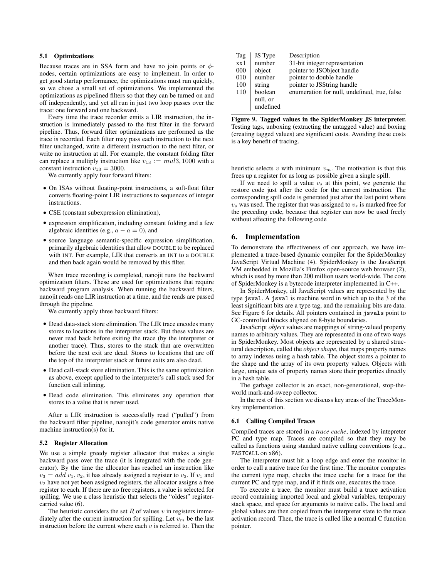### 5.1 Optimizations

Because traces are in SSA form and have no join points or  $\phi$ nodes, certain optimizations are easy to implement. In order to get good startup performance, the optimizations must run quickly, so we chose a small set of optimizations. We implemented the optimizations as pipelined filters so that they can be turned on and off independently, and yet all run in just two loop passes over the trace: one forward and one backward.

Every time the trace recorder emits a LIR instruction, the instruction is immediately passed to the first filter in the forward pipeline. Thus, forward filter optimizations are performed as the trace is recorded. Each filter may pass each instruction to the next filter unchanged, write a different instruction to the next filter, or write no instruction at all. For example, the constant folding filter can replace a multiply instruction like  $v_{13} := mul3, 1000$  with a constant instruction  $v_{13} = 3000$ .

We currently apply four forward filters:

- On ISAs without floating-point instructions, a soft-float filter converts floating-point LIR instructions to sequences of integer instructions.
- CSE (constant subexpression elimination),
- expression simplification, including constant folding and a few algebraic identities (e.g.,  $a - a = 0$ ), and
- source language semantic-specific expression simplification, primarily algebraic identities that allow DOUBLE to be replaced with INT. For example, LIR that converts an INT to a DOUBLE and then back again would be removed by this filter.

When trace recording is completed, nanojit runs the backward optimization filters. These are used for optimizations that require backward program analysis. When running the backward filters, nanojit reads one LIR instruction at a time, and the reads are passed through the pipeline.

We currently apply three backward filters:

- Dead data-stack store elimination. The LIR trace encodes many stores to locations in the interpreter stack. But these values are never read back before exiting the trace (by the interpreter or another trace). Thus, stores to the stack that are overwritten before the next exit are dead. Stores to locations that are off the top of the interpreter stack at future exits are also dead.
- Dead call-stack store elimination. This is the same optimization as above, except applied to the interpreter's call stack used for function call inlining.
- Dead code elimination. This eliminates any operation that stores to a value that is never used.

After a LIR instruction is successfully read ("pulled") from the backward filter pipeline, nanojit's code generator emits native machine instruction(s) for it.

## 5.2 Register Allocation

We use a simple greedy register allocator that makes a single backward pass over the trace (it is integrated with the code generator). By the time the allocator has reached an instruction like  $v_3 = add v_1, v_2$ , it has already assigned a register to  $v_3$ . If  $v_1$  and  $v_2$  have not yet been assigned registers, the allocator assigns a free register to each. If there are no free registers, a value is selected for spilling. We use a class heuristic that selects the "oldest" registercarried value (6).

The heuristic considers the set  $R$  of values  $v$  in registers immediately after the current instruction for spilling. Let  $v_m$  be the last instruction before the current where each  $v$  is referred to. Then the

| Tag | JS Type   | Description                                  |
|-----|-----------|----------------------------------------------|
| xx1 | number    | 31-bit integer representation                |
| 000 | object    | pointer to JSO bject handle                  |
| 010 | number    | pointer to double handle                     |
| 100 | string    | pointer to JSString handle                   |
| 110 | boolean   | enumeration for null, undefined, true, false |
|     | null, or  |                                              |
|     | undefined |                                              |

Figure 9. Tagged values in the SpiderMonkey JS interpreter. Testing tags, unboxing (extracting the untagged value) and boxing (creating tagged values) are significant costs. Avoiding these costs is a key benefit of tracing.

heuristic selects  $v$  with minimum  $v_m$ . The motivation is that this frees up a register for as long as possible given a single spill.

If we need to spill a value  $v<sub>s</sub>$  at this point, we generate the restore code just after the code for the current instruction. The corresponding spill code is generated just after the last point where  $v<sub>s</sub>$  was used. The register that was assigned to  $v<sub>s</sub>$  is marked free for the preceding code, because that register can now be used freely without affecting the following code

# 6. Implementation

To demonstrate the effectiveness of our approach, we have implemented a trace-based dynamic compiler for the SpiderMonkey JavaScript Virtual Machine (4). SpiderMonkey is the JavaScript VM embedded in Mozilla's Firefox open-source web browser (2), which is used by more than 200 million users world-wide. The core of SpiderMonkey is a bytecode interpreter implemented in C++.

In SpiderMonkey, all JavaScript values are represented by the type jsval. A jsval is machine word in which up to the 3 of the least significant bits are a type tag, and the remaining bits are data. See Figure 6 for details. All pointers contained in jsvals point to GC-controlled blocks aligned on 8-byte boundaries.

JavaScript *object* values are mappings of string-valued property names to arbitrary values. They are represented in one of two ways in SpiderMonkey. Most objects are represented by a shared structural description, called the *object shape*, that maps property names to array indexes using a hash table. The object stores a pointer to the shape and the array of its own property values. Objects with large, unique sets of property names store their properties directly in a hash table.

The garbage collector is an exact, non-generational, stop-theworld mark-and-sweep collector.

In the rest of this section we discuss key areas of the TraceMonkey implementation.

#### 6.1 Calling Compiled Traces

Compiled traces are stored in a *trace cache*, indexed by intepreter PC and type map. Traces are compiled so that they may be called as functions using standard native calling conventions (e.g., FASTCALL on  $x86$ ).

The interpreter must hit a loop edge and enter the monitor in order to call a native trace for the first time. The monitor computes the current type map, checks the trace cache for a trace for the current PC and type map, and if it finds one, executes the trace.

To execute a trace, the monitor must build a trace activation record containing imported local and global variables, temporary stack space, and space for arguments to native calls. The local and global values are then copied from the interpreter state to the trace activation record. Then, the trace is called like a normal C function pointer.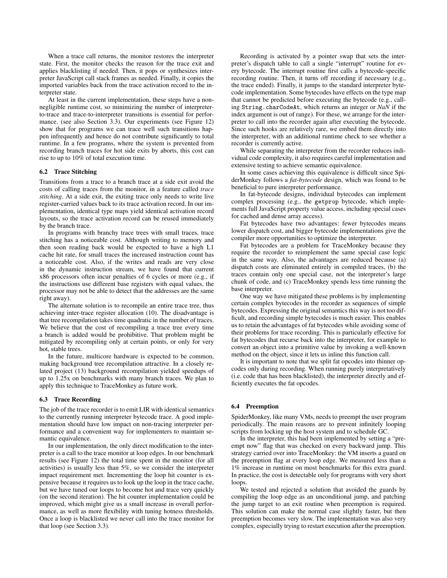When a trace call returns, the monitor restores the interpreter state. First, the monitor checks the reason for the trace exit and applies blacklisting if needed. Then, it pops or synthesizes interpreter JavaScript call stack frames as needed. Finally, it copies the imported variables back from the trace activation record to the interpreter state.

At least in the current implementation, these steps have a nonnegligible runtime cost, so minimizing the number of interpreterto-trace and trace-to-interpreter transitions is essential for performance. (see also Section 3.3). Our experiments (see Figure 12) show that for programs we can trace well such transitions happen infrequently and hence do not contribute significantly to total runtime. In a few programs, where the system is prevented from recording branch traces for hot side exits by aborts, this cost can rise to up to 10% of total execution time.

# 6.2 Trace Stitching

Transitions from a trace to a branch trace at a side exit avoid the costs of calling traces from the monitor, in a feature called *trace stitching*. At a side exit, the exiting trace only needs to write live register-carried values back to its trace activation record. In our implementation, identical type maps yield identical activation record layouts, so the trace activation record can be reused immediately by the branch trace.

In programs with branchy trace trees with small traces, trace stitching has a noticeable cost. Although writing to memory and then soon reading back would be expected to have a high L1 cache hit rate, for small traces the increased instruction count has a noticeable cost. Also, if the writes and reads are very close in the dynamic instruction stream, we have found that current x86 processors often incur penalties of 6 cycles or more (e.g., if the instructions use different base registers with equal values, the processor may not be able to detect that the addresses are the same right away).

The alternate solution is to recompile an entire trace tree, thus achieving inter-trace register allocation (10). The disadvantage is that tree recompilation takes time quadratic in the number of traces. We believe that the cost of recompiling a trace tree every time a branch is added would be prohibitive. That problem might be mitigated by recompiling only at certain points, or only for very hot, stable trees.

In the future, multicore hardware is expected to be common, making background tree recompilation attractive. In a closely related project (13) background recompilation yielded speedups of up to 1.25x on benchmarks with many branch traces. We plan to apply this technique to TraceMonkey as future work.

#### 6.3 Trace Recording

The job of the trace recorder is to emit LIR with identical semantics to the currently running interpreter bytecode trace. A good implementation should have low impact on non-tracing interpreter performance and a convenient way for implementers to maintain semantic equivalence.

In our implementation, the only direct modification to the interpreter is a call to the trace monitor at loop edges. In our benchmark results (see Figure 12) the total time spent in the monitor (for all activities) is usually less than 5%, so we consider the interpreter impact requirement met. Incrementing the loop hit counter is expensive because it requires us to look up the loop in the trace cache, but we have tuned our loops to become hot and trace very quickly (on the second iteration). The hit counter implementation could be improved, which might give us a small increase in overall performance, as well as more flexibility with tuning hotness thresholds. Once a loop is blacklisted we never call into the trace monitor for that loop (see Section 3.3).

Recording is activated by a pointer swap that sets the interpreter's dispatch table to call a single "interrupt" routine for every bytecode. The interrupt routine first calls a bytecode-specific recording routine. Then, it turns off recording if necessary (e.g., the trace ended). Finally, it jumps to the standard interpreter bytecode implementation. Some bytecodes have effects on the type map that cannot be predicted before executing the bytecode (e.g., calling String.charCodeAt, which returns an integer or *NaN* if the index argument is out of range). For these, we arrange for the interpreter to call into the recorder again after executing the bytecode. Since such hooks are relatively rare, we embed them directly into the interpreter, with an additional runtime check to see whether a recorder is currently active.

While separating the interpreter from the recorder reduces individual code complexity, it also requires careful implementation and extensive testing to achieve semantic equivalence.

In some cases achieving this equivalence is difficult since SpiderMonkey follows a *fat-bytecode* design, which was found to be beneficial to pure interpreter performance.

In fat-bytecode designs, individual bytecodes can implement complex processing (e.g., the getprop bytecode, which implements full JavaScript property value access, including special cases for cached and dense array access).

Fat bytecodes have two advantages: fewer bytecodes means lower dispatch cost, and bigger bytecode implementations give the compiler more opportunities to optimize the interpreter.

Fat bytecodes are a problem for TraceMonkey because they require the recorder to reimplement the same special case logic in the same way. Also, the advantages are reduced because (a) dispatch costs are eliminated entirely in compiled traces, (b) the traces contain only one special case, not the interpreter's large chunk of code, and (c) TraceMonkey spends less time running the base interpreter.

One way we have mitigated these problems is by implementing certain complex bytecodes in the recorder as sequences of simple bytecodes. Expressing the original semantics this way is not too difficult, and recording simple bytecodes is much easier. This enables us to retain the advantages of fat bytecodes while avoiding some of their problems for trace recording. This is particularly effective for fat bytecodes that recurse back into the interpreter, for example to convert an object into a primitive value by invoking a well-known method on the object, since it lets us inline this function call.

It is important to note that we split fat opcodes into thinner opcodes only during recording. When running purely interpretatively (i.e. code that has been blacklisted), the interpreter directly and efficiently executes the fat opcodes.

### 6.4 Preemption

SpiderMonkey, like many VMs, needs to preempt the user program periodically. The main reasons are to prevent infinitely looping scripts from locking up the host system and to schedule GC.

In the interpreter, this had been implemented by setting a "preempt now" flag that was checked on every backward jump. This strategy carried over into TraceMonkey: the VM inserts a guard on the preemption flag at every loop edge. We measured less than a 1% increase in runtime on most benchmarks for this extra guard. In practice, the cost is detectable only for programs with very short loops.

We tested and rejected a solution that avoided the guards by compiling the loop edge as an unconditional jump, and patching the jump target to an exit routine when preemption is required. This solution can make the normal case slightly faster, but then preemption becomes very slow. The implementation was also very complex, especially trying to restart execution after the preemption.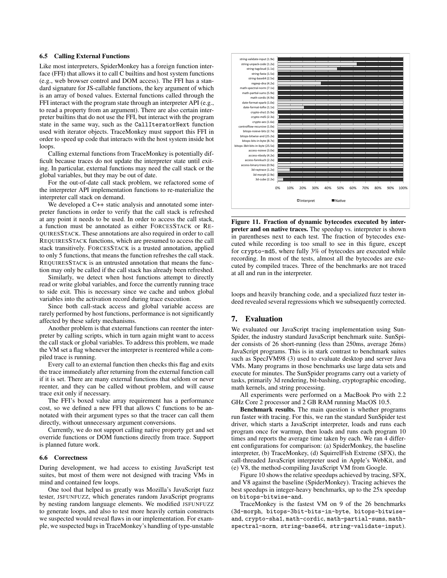#### 6.5 Calling External Functions

Like most interpreters, SpiderMonkey has a foreign function interface (FFI) that allows it to call C builtins and host system functions (e.g., web browser control and DOM access). The FFI has a standard signature for JS-callable functions, the key argument of which is an array of boxed values. External functions called through the FFI interact with the program state through an interpreter API (e.g., to read a property from an argument). There are also certain interpreter builtins that do not use the FFI, but interact with the program state in the same way, such as the CallIteratorNext function used with iterator objects. TraceMonkey must support this FFI in order to speed up code that interacts with the host system inside hot loops.

Calling external functions from TraceMonkey is potentially difficult because traces do not update the interpreter state until exiting. In particular, external functions may need the call stack or the global variables, but they may be out of date.

For the out-of-date call stack problem, we refactored some of the interpreter API implementation functions to re-materialize the interpreter call stack on demand.

We developed a C++ static analysis and annotated some interpreter functions in order to verify that the call stack is refreshed at any point it needs to be used. In order to access the call stack, a function must be annotated as either FORCESSTACK or RE-QUIRESSTACK. These annotations are also required in order to call REQUIRESSTACK functions, which are presumed to access the call stack transitively. FORCESSTACK is a trusted annotation, applied to only 5 functions, that means the function refreshes the call stack. REQUIRESSTACK is an untrusted annotation that means the function may only be called if the call stack has already been refreshed.

Similarly, we detect when host functions attempt to directly read or write global variables, and force the currently running trace to side exit. This is necessary since we cache and unbox global variables into the activation record during trace execution.

Since both call-stack access and global variable access are rarely performed by host functions, performance is not significantly affected by these safety mechanisms.

Another problem is that external functions can reenter the interpreter by calling scripts, which in turn again might want to access the call stack or global variables. To address this problem, we made the VM set a flag whenever the interpreter is reentered while a compiled trace is running.

Every call to an external function then checks this flag and exits the trace immediately after returning from the external function call if it is set. There are many external functions that seldom or never reenter, and they can be called without problem, and will cause trace exit only if necessary.

The FFI's boxed value array requirement has a performance cost, so we defined a new FFI that allows C functions to be annotated with their argument types so that the tracer can call them directly, without unnecessary argument conversions.

Currently, we do not support calling native property get and set override functions or DOM functions directly from trace. Support is planned future work.

#### 6.6 Correctness

During development, we had access to existing JavaScript test suites, but most of them were not designed with tracing VMs in mind and contained few loops.

One tool that helped us greatly was Mozilla's JavaScript fuzz tester, JSFUNFUZZ, which generates random JavaScript programs by nesting random language elements. We modified JSFUNFUZZ to generate loops, and also to test more heavily certain constructs we suspected would reveal flaws in our implementation. For example, we suspected bugs in TraceMonkey's handling of type-unstable



Figure 11. Fraction of dynamic bytecodes executed by interpreter and on native traces. The speedup vs. interpreter is shown in parentheses next to each test. The fraction of bytecodes executed while recording is too small to see in this figure, except for crypto-md5, where fully 3% of bytecodes are executed while recording. In most of the tests, almost all the bytecodes are executed by compiled traces. Three of the benchmarks are not traced at all and run in the interpreter.

loops and heavily branching code, and a specialized fuzz tester indeed revealed several regressions which we subsequently corrected.

# 7. Evaluation

We evaluated our JavaScript tracing implementation using Sun-Spider, the industry standard JavaScript benchmark suite. SunSpider consists of 26 short-running (less than 250ms, average 26ms) JavaScript programs. This is in stark contrast to benchmark suites such as SpecJVM98 (3) used to evaluate desktop and server Java VMs. Many programs in those benchmarks use large data sets and execute for minutes. The SunSpider programs carry out a variety of tasks, primarily 3d rendering, bit-bashing, cryptographic encoding, math kernels, and string processing.

All experiments were performed on a MacBook Pro with 2.2 GHz Core 2 processor and 2 GB RAM running MacOS 10.5.

Benchmark results. The main question is whether programs run faster with tracing. For this, we ran the standard SunSpider test driver, which starts a JavaScript interpreter, loads and runs each program once for warmup, then loads and runs each program 10 times and reports the average time taken by each. We ran 4 different configurations for comparison: (a) SpiderMonkey, the baseline interpreter, (b) TraceMonkey, (d) SquirrelFish Extreme (SFX), the call-threaded JavaScript interpreter used in Apple's WebKit, and (e) V8, the method-compiling JavaScript VM from Google.

Figure 10 shows the relative speedups achieved by tracing, SFX, and V8 against the baseline (SpiderMonkey). Tracing achieves the best speedups in integer-heavy benchmarks, up to the 25x speedup on bitops-bitwise-and.

TraceMonkey is the fastest VM on 9 of the 26 benchmarks (3d-morph, bitops-3bit-bits-in-byte, bitops-bitwiseand, crypto-sha1, math-cordic, math-partial-sums, mathspectral-norm, string-base64, string-validate-input).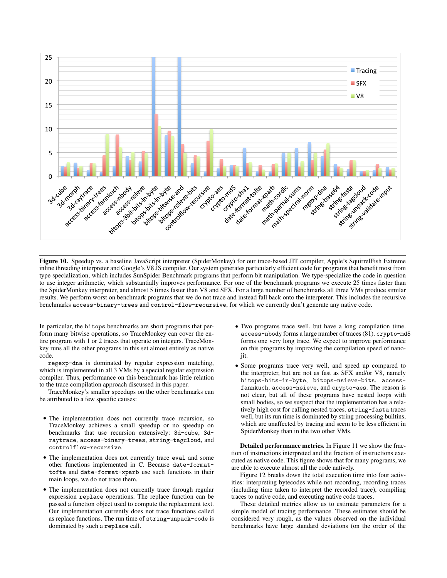

Figure 10. Speedup vs. a baseline JavaScript interpreter (SpiderMonkey) for our trace-based JIT compiler, Apple's SquirrelFish Extreme inline threading interpreter and Google's V8 JS compiler. Our system generates particularly efficient code for programs that benefit most from type specialization, which includes SunSpider Benchmark programs that perform bit manipulation. We type-specialize the code in question to use integer arithmetic, which substantially improves performance. For one of the benchmark programs we execute 25 times faster than the SpiderMonkey interpreter, and almost 5 times faster than V8 and SFX. For a large number of benchmarks all three VMs produce similar results. We perform worst on benchmark programs that we do not trace and instead fall back onto the interpreter. This includes the recursive benchmarks access-binary-trees and control-flow-recursive, for which we currently don't generate any native code.

In particular, the bitops benchmarks are short programs that perform many bitwise operations, so TraceMonkey can cover the entire program with 1 or 2 traces that operate on integers. TraceMonkey runs all the other programs in this set almost entirely as native code.

regexp-dna is dominated by regular expression matching, which is implemented in all 3 VMs by a special regular expression compiler. Thus, performance on this benchmark has little relation to the trace compilation approach discussed in this paper.

TraceMonkey's smaller speedups on the other benchmarks can be attributed to a few specific causes:

- The implementation does not currently trace recursion, so TraceMonkey achieves a small speedup or no speedup on benchmarks that use recursion extensively: 3d-cube, 3draytrace, access-binary-trees, string-tagcloud, and controlflow-recursive.
- The implementation does not currently trace eval and some other functions implemented in C. Because date-formattofte and date-format-xparb use such functions in their main loops, we do not trace them.
- The implementation does not currently trace through regular expression replace operations. The replace function can be passed a function object used to compute the replacement text. Our implementation currently does not trace functions called as replace functions. The run time of string-unpack-code is dominated by such a replace call.
- Two programs trace well, but have a long compilation time. access-nbody forms a large number of traces (81). crypto-md5 forms one very long trace. We expect to improve performance on this programs by improving the compilation speed of nanojit.
- Some programs trace very well, and speed up compared to the interpreter, but are not as fast as SFX and/or V8, namely bitops-bits-in-byte, bitops-nsieve-bits, accessfannkuch, access-nsieve, and crypto-aes. The reason is not clear, but all of these programs have nested loops with small bodies, so we suspect that the implementation has a relatively high cost for calling nested traces. string-fasta traces well, but its run time is dominated by string processing builtins, which are unaffected by tracing and seem to be less efficient in SpiderMonkey than in the two other VMs.

Detailed performance metrics. In Figure 11 we show the fraction of instructions interpreted and the fraction of instructions executed as native code. This figure shows that for many programs, we are able to execute almost all the code natively.

Figure 12 breaks down the total execution time into four activities: interpreting bytecodes while not recording, recording traces (including time taken to interpret the recorded trace), compiling traces to native code, and executing native code traces.

These detailed metrics allow us to estimate parameters for a simple model of tracing performance. These estimates should be considered very rough, as the values observed on the individual benchmarks have large standard deviations (on the order of the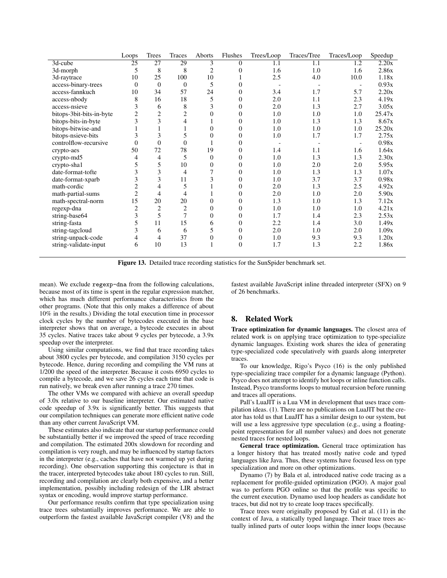|                          | Loops           | Trees          | Traces         | Aborts         | Flushes        | Trees/Loop | Traces/Tree | Traces/Loop              | Speedup |
|--------------------------|-----------------|----------------|----------------|----------------|----------------|------------|-------------|--------------------------|---------|
| 3d-cube                  | $\overline{25}$ | 27             | 29             | 3              | $\Omega$       | 1.1        | 1.1         | $\overline{1.2}$         | 2.20x   |
| 3d-morph                 | 5               | 8              | 8              | $\overline{2}$ | 0              | 1.6        | 1.0         | 1.6                      | 2.86x   |
| 3d-raytrace              | 10              | 25             | 100            | 10             |                | 2.5        | 4.0         | 10.0                     | 1.18x   |
| access-binary-trees      | $\Omega$        | $\Omega$       | $\overline{0}$ | 5              | 0              |            |             | $\overline{\phantom{a}}$ | 0.93x   |
| access-fannkuch          | 10              | 34             | 57             | 24             | 0              | 3.4        | 1.7         | 5.7                      | 2.20x   |
| access-nbody             | 8               | 16             | 18             | 5              | 0              | 2.0        | 1.1         | 2.3                      | 4.19x   |
| access-nsieve            | 3               | 6              | 8              | 3              | 0              | 2.0        | 1.3         | 2.7                      | 3.05x   |
| bitops-3bit-bits-in-byte | $\overline{c}$  | $\overline{c}$ | $\overline{2}$ | $\theta$       | 0              | 1.0        | 1.0         | 1.0                      | 25.47x  |
| bitops-bits-in-byte      | 3               | 3              | 4              |                | 0              | 1.0        | 1.3         | 1.3                      | 8.67x   |
| bitops-bitwise-and       |                 |                |                | $\theta$       | 0              | 1.0        | 1.0         | 1.0                      | 25.20x  |
| bitops-nsieve-bits       | 3               | 3              | 5              | $\Omega$       | 0              | 1.0        | 1.7         | 1.7                      | 2.75x   |
| controlflow-recursive    | $\theta$        | $\theta$       | $\theta$       |                | 0              |            |             | $\overline{\phantom{0}}$ | 0.98x   |
| crypto-aes               | 50              | 72             | 78             | 19             | 0              | 1.4        | 1.1         | 1.6                      | 1.64x   |
| crypto-md5               | 4               | 4              | 5              | $\overline{0}$ | 0              | 1.0        | 1.3         | 1.3                      | 2.30x   |
| crypto-shal              | 5               | 5              | 10             | 0              | 0              | 1.0        | 2.0         | 2.0                      | 5.95x   |
| date-format-tofte        | 3               | 3              | 4              |                | 0              | 1.0        | 1.3         | 1.3                      | 1.07x   |
| date-format-xparb        | 3               | 3              | 11             | 3              | 0              | 1.0        | 3.7         | 3.7                      | 0.98x   |
| math-cordic              | 2               | 4              | 5              |                | 0              | 2.0        | 1.3         | 2.5                      | 4.92x   |
| math-partial-sums        | $\overline{2}$  | 4              | 4              |                | 0              | 2.0        | 1.0         | 2.0                      | 5.90x   |
| math-spectral-norm       | 15              | 20             | 20             | $\theta$       | 0              | 1.3        | 1.0         | 1.3                      | 7.12x   |
| regexp-dna               | $\overline{c}$  | $\overline{2}$ | $\overline{2}$ | 0              | 0              | 1.0        | 1.0         | 1.0                      | 4.21x   |
| string-base64            | 3               | 5              | 7              | 0              | 0              | 1.7        | 1.4         | 2.3                      | 2.53x   |
| string-fasta             | 5               | 11             | 15             | 6              | 0              | 2.2        | 1.4         | 3.0                      | 1.49x   |
| string-tagcloud          | 3               | 6              | 6              | 5              | 0              | 2.0        | 1.0         | 2.0                      | 1.09x   |
| string-unpack-code       | 4               | 4              | 37             | $\Omega$       | $\Omega$       | 1.0        | 9.3         | 9.3                      | 1.20x   |
| string-validate-input    | 6               | 10             | 13             |                | $\overline{0}$ | 1.7        | 1.3         | 2.2                      | 1.86x   |

Figure 13. Detailed trace recording statistics for the SunSpider benchmark set.

mean). We exclude regexp-dna from the following calculations, because most of its time is spent in the regular expression matcher, which has much different performance characteristics from the other programs. (Note that this only makes a difference of about 10% in the results.) Dividing the total execution time in processor clock cycles by the number of bytecodes executed in the base interpreter shows that on average, a bytecode executes in about 35 cycles. Native traces take about 9 cycles per bytecode, a 3.9x speedup over the interpreter.

Using similar computations, we find that trace recording takes about 3800 cycles per bytecode, and compilation 3150 cycles per bytecode. Hence, during recording and compiling the VM runs at 1/200 the speed of the interpreter. Because it costs 6950 cycles to compile a bytecode, and we save 26 cycles each time that code is run natively, we break even after running a trace 270 times.

The other VMs we compared with achieve an overall speedup of 3.0x relative to our baseline interpreter. Our estimated native code speedup of 3.9x is significantly better. This suggests that our compilation techniques can generate more efficient native code than any other current JavaScript VM.

These estimates also indicate that our startup performance could be substantially better if we improved the speed of trace recording and compilation. The estimated 200x slowdown for recording and compilation is very rough, and may be influenced by startup factors in the interpreter (e.g., caches that have not warmed up yet during recording). One observation supporting this conjecture is that in the tracer, interpreted bytecodes take about 180 cycles to run. Still, recording and compilation are clearly both expensive, and a better implementation, possibly including redesign of the LIR abstract syntax or encoding, would improve startup performance.

Our performance results confirm that type specialization using trace trees substantially improves performance. We are able to outperform the fastest available JavaScript compiler (V8) and the

fastest available JavaScript inline threaded interpreter (SFX) on 9 of 26 benchmarks.

# 8. Related Work

Trace optimization for dynamic languages. The closest area of related work is on applying trace optimization to type-specialize dynamic languages. Existing work shares the idea of generating type-specialized code speculatively with guards along interpreter traces.

To our knowledge, Rigo's Psyco (16) is the only published type-specializing trace compiler for a dynamic language (Python). Psyco does not attempt to identify hot loops or inline function calls. Instead, Psyco transforms loops to mutual recursion before running and traces all operations.

Pall's LuaJIT is a Lua VM in development that uses trace compilation ideas. (1). There are no publications on LuaJIT but the creator has told us that LuaJIT has a similar design to our system, but will use a less aggressive type speculation (e.g., using a floatingpoint representation for all number values) and does not generate nested traces for nested loops.

General trace optimization. General trace optimization has a longer history that has treated mostly native code and typed languages like Java. Thus, these systems have focused less on type specialization and more on other optimizations.

Dynamo (7) by Bala et al, introduced native code tracing as a replacement for profile-guided optimization (PGO). A major goal was to perform PGO online so that the profile was specific to the current execution. Dynamo used loop headers as candidate hot traces, but did not try to create loop traces specifically.

Trace trees were originally proposed by Gal et al. (11) in the context of Java, a statically typed language. Their trace trees actually inlined parts of outer loops within the inner loops (because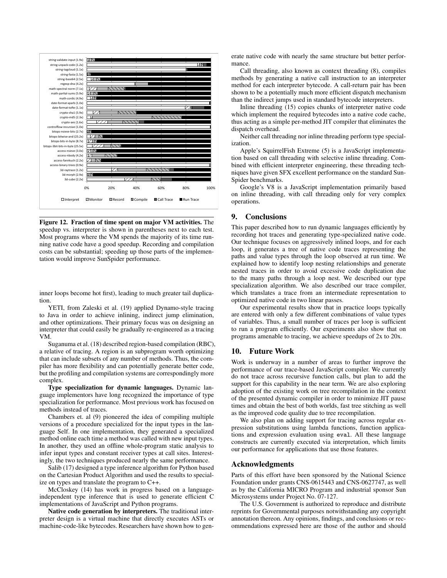

Figure 12. Fraction of time spent on major VM activities. The speedup vs. interpreter is shown in parentheses next to each test. Most programs where the VM spends the majority of its time running native code have a good speedup. Recording and compilation costs can be substantial; speeding up those parts of the implementation would improve SunSpider performance.

inner loops become hot first), leading to much greater tail duplication.

YETI, from Zaleski et al. (19) applied Dynamo-style tracing to Java in order to achieve inlining, indirect jump elimination, and other optimizations. Their primary focus was on designing an interpreter that could easily be gradually re-engineered as a tracing VM.

Suganuma et al. (18) described region-based compilation (RBC), a relative of tracing. A region is an subprogram worth optimizing that can include subsets of any number of methods. Thus, the compiler has more flexibility and can potentially generate better code, but the profiling and compilation systems are correspondingly more complex.

Type specialization for dynamic languages. Dynamic language implementors have long recognized the importance of type specialization for performance. Most previous work has focused on methods instead of traces.

Chambers et. al (9) pioneered the idea of compiling multiple versions of a procedure specialized for the input types in the language Self. In one implementation, they generated a specialized method online each time a method was called with new input types. In another, they used an offline whole-program static analysis to infer input types and constant receiver types at call sites. Interestingly, the two techniques produced nearly the same performance.

Salib (17) designed a type inference algorithm for Python based on the Cartesian Product Algorithm and used the results to specialize on types and translate the program to C++.

McCloskey (14) has work in progress based on a languageindependent type inference that is used to generate efficient C implementations of JavaScript and Python programs.

Native code generation by interpreters. The traditional interpreter design is a virtual machine that directly executes ASTs or machine-code-like bytecodes. Researchers have shown how to generate native code with nearly the same structure but better performance.

Call threading, also known as context threading (8), compiles methods by generating a native call instruction to an interpreter method for each interpreter bytecode. A call-return pair has been shown to be a potentially much more efficient dispatch mechanism than the indirect jumps used in standard bytecode interpreters.

Inline threading (15) copies chunks of interpreter native code which implement the required bytecodes into a native code cache, thus acting as a simple per-method JIT compiler that eliminates the dispatch overhead.

Neither call threading nor inline threading perform type specialization.

Apple's SquirrelFish Extreme (5) is a JavaScript implementation based on call threading with selective inline threading. Combined with efficient interpreter engineering, these threading techniques have given SFX excellent performance on the standard Sun-Spider benchmarks.

Google's V8 is a JavaScript implementation primarily based on inline threading, with call threading only for very complex operations.

## 9. Conclusions

This paper described how to run dynamic languages efficiently by recording hot traces and generating type-specialized native code. Our technique focuses on aggressively inlined loops, and for each loop, it generates a tree of native code traces representing the paths and value types through the loop observed at run time. We explained how to identify loop nesting relationships and generate nested traces in order to avoid excessive code duplication due to the many paths through a loop nest. We described our type specialization algorithm. We also described our trace compiler, which translates a trace from an intermediate representation to optimized native code in two linear passes.

Our experimental results show that in practice loops typically are entered with only a few different combinations of value types of variables. Thus, a small number of traces per loop is sufficient to run a program efficiently. Our experiments also show that on programs amenable to tracing, we achieve speedups of 2x to 20x.

## 10. Future Work

Work is underway in a number of areas to further improve the performance of our trace-based JavaScript compiler. We currently do not trace across recursive function calls, but plan to add the support for this capability in the near term. We are also exploring adoption of the existing work on tree recompilation in the context of the presented dynamic compiler in order to minimize JIT pause times and obtain the best of both worlds, fast tree stitching as well as the improved code quality due to tree recompilation.

We also plan on adding support for tracing across regular expression substitutions using lambda functions, function applications and expression evaluation using eval. All these language constructs are currently executed via interpretation, which limits our performance for applications that use those features.

## Acknowledgments

Parts of this effort have been sponsored by the National Science Foundation under grants CNS-0615443 and CNS-0627747, as well as by the California MICRO Program and industrial sponsor Sun Microsystems under Project No. 07-127.

The U.S. Government is authorized to reproduce and distribute reprints for Governmental purposes notwithstanding any copyright annotation thereon. Any opinions, findings, and conclusions or recommendations expressed here are those of the author and should